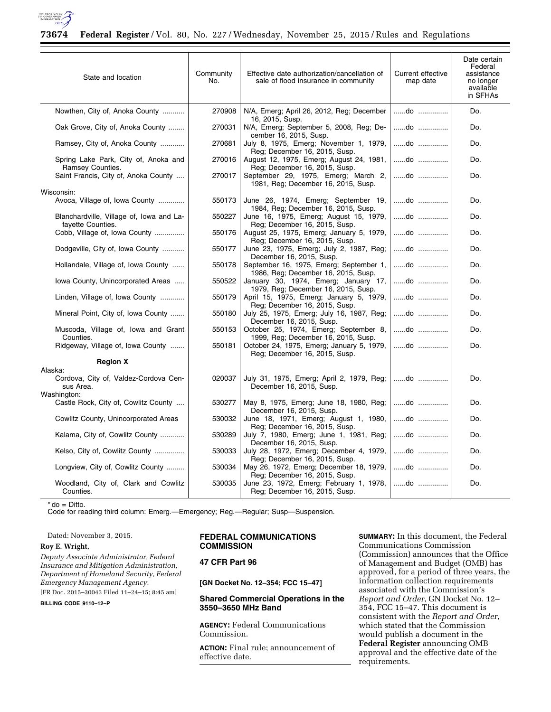

# **73674 Federal Register** / Vol. 80, No. 227 / Wednesday, November 25, 2015 / Rules and Regulations

| Community<br>No.                                                                                                                                                                                                                                 | Effective date authorization/cancellation of<br>sale of flood insurance in community | Current effective<br>map date                                                                                                                                                                                                                                                                                                                                                                                                                                                                                                                                                                                                                                         | Date certain<br>Federal<br>assistance<br>no longer<br>available<br>in SFHAs |
|--------------------------------------------------------------------------------------------------------------------------------------------------------------------------------------------------------------------------------------------------|--------------------------------------------------------------------------------------|-----------------------------------------------------------------------------------------------------------------------------------------------------------------------------------------------------------------------------------------------------------------------------------------------------------------------------------------------------------------------------------------------------------------------------------------------------------------------------------------------------------------------------------------------------------------------------------------------------------------------------------------------------------------------|-----------------------------------------------------------------------------|
| 270908                                                                                                                                                                                                                                           | N/A, Emerg; April 26, 2012, Reg; December                                            | do                                                                                                                                                                                                                                                                                                                                                                                                                                                                                                                                                                                                                                                                    | Do.                                                                         |
| 270031                                                                                                                                                                                                                                           | N/A, Emerg; September 5, 2008, Reg; De-                                              | do                                                                                                                                                                                                                                                                                                                                                                                                                                                                                                                                                                                                                                                                    | Do.                                                                         |
| 270681                                                                                                                                                                                                                                           | July 8, 1975, Emerg; November 1, 1979,                                               | do                                                                                                                                                                                                                                                                                                                                                                                                                                                                                                                                                                                                                                                                    | Do.                                                                         |
| 270016                                                                                                                                                                                                                                           | August 12, 1975, Emerg; August 24, 1981,                                             | do                                                                                                                                                                                                                                                                                                                                                                                                                                                                                                                                                                                                                                                                    | Do.                                                                         |
| 270017                                                                                                                                                                                                                                           | September 29, 1975, Emerg; March 2,                                                  | do                                                                                                                                                                                                                                                                                                                                                                                                                                                                                                                                                                                                                                                                    | Do.                                                                         |
|                                                                                                                                                                                                                                                  |                                                                                      |                                                                                                                                                                                                                                                                                                                                                                                                                                                                                                                                                                                                                                                                       |                                                                             |
| 550173                                                                                                                                                                                                                                           | June 26, 1974, Emerg; September 19,                                                  | do                                                                                                                                                                                                                                                                                                                                                                                                                                                                                                                                                                                                                                                                    | Do.                                                                         |
| 550227                                                                                                                                                                                                                                           | June 16, 1975, Emerg; August 15, 1979,                                               | do                                                                                                                                                                                                                                                                                                                                                                                                                                                                                                                                                                                                                                                                    | Do.                                                                         |
| 550176                                                                                                                                                                                                                                           | August 25, 1975, Emerg; January 5, 1979,                                             | do                                                                                                                                                                                                                                                                                                                                                                                                                                                                                                                                                                                                                                                                    | Do.                                                                         |
| 550177                                                                                                                                                                                                                                           | June 23, 1975, Emerg; July 2, 1987, Reg;                                             | do                                                                                                                                                                                                                                                                                                                                                                                                                                                                                                                                                                                                                                                                    | Do.                                                                         |
| 550178                                                                                                                                                                                                                                           | September 16, 1975, Emerg; September 1,                                              | do                                                                                                                                                                                                                                                                                                                                                                                                                                                                                                                                                                                                                                                                    | Do.                                                                         |
| 550522                                                                                                                                                                                                                                           | January 30, 1974, Emerg; January 17,                                                 | do                                                                                                                                                                                                                                                                                                                                                                                                                                                                                                                                                                                                                                                                    | Do.                                                                         |
| 550179                                                                                                                                                                                                                                           | April 15, 1975, Emerg; January 5, 1979,                                              | do                                                                                                                                                                                                                                                                                                                                                                                                                                                                                                                                                                                                                                                                    | Do.                                                                         |
| 550180                                                                                                                                                                                                                                           | July 25, 1975, Emerg; July 16, 1987, Reg;                                            | do                                                                                                                                                                                                                                                                                                                                                                                                                                                                                                                                                                                                                                                                    | Do.                                                                         |
| 550153                                                                                                                                                                                                                                           | October 25, 1974, Emerg; September 8,                                                | do                                                                                                                                                                                                                                                                                                                                                                                                                                                                                                                                                                                                                                                                    | Do.                                                                         |
| 550181                                                                                                                                                                                                                                           | October 24, 1975, Emerg; January 5, 1979,                                            | do                                                                                                                                                                                                                                                                                                                                                                                                                                                                                                                                                                                                                                                                    | Do.                                                                         |
|                                                                                                                                                                                                                                                  |                                                                                      |                                                                                                                                                                                                                                                                                                                                                                                                                                                                                                                                                                                                                                                                       |                                                                             |
|                                                                                                                                                                                                                                                  |                                                                                      |                                                                                                                                                                                                                                                                                                                                                                                                                                                                                                                                                                                                                                                                       |                                                                             |
| 020037                                                                                                                                                                                                                                           | December 16, 2015, Susp.                                                             | do                                                                                                                                                                                                                                                                                                                                                                                                                                                                                                                                                                                                                                                                    | Do.                                                                         |
| 530277                                                                                                                                                                                                                                           | May 8, 1975, Emerg; June 18, 1980, Reg;                                              | do                                                                                                                                                                                                                                                                                                                                                                                                                                                                                                                                                                                                                                                                    | Do.                                                                         |
| 530032                                                                                                                                                                                                                                           | June 18, 1971, Emerg; August 1, 1980,                                                | do                                                                                                                                                                                                                                                                                                                                                                                                                                                                                                                                                                                                                                                                    | Do.                                                                         |
| 530289                                                                                                                                                                                                                                           | July 7, 1980, Emerg; June 1, 1981, Reg;                                              | do                                                                                                                                                                                                                                                                                                                                                                                                                                                                                                                                                                                                                                                                    | Do.                                                                         |
| 530033                                                                                                                                                                                                                                           | July 28, 1972, Emerg; December 4, 1979,                                              | do                                                                                                                                                                                                                                                                                                                                                                                                                                                                                                                                                                                                                                                                    | Do.                                                                         |
| 530034                                                                                                                                                                                                                                           | May 26, 1972, Emerg; December 18, 1979,                                              | do                                                                                                                                                                                                                                                                                                                                                                                                                                                                                                                                                                                                                                                                    | Do.                                                                         |
| 530035                                                                                                                                                                                                                                           | June 23, 1972, Emerg; February 1, 1978,<br>Reg: December 16, 2015, Susp.             | do                                                                                                                                                                                                                                                                                                                                                                                                                                                                                                                                                                                                                                                                    | Do.                                                                         |
| Nowthen, City of, Anoka County<br>Avoca, Village of, Iowa County<br>Cobb, Village of, Iowa County<br>Dodgeville, City of, Iowa County<br>lowa County, Unincorporated Areas<br>Linden, Village of, Iowa County<br>Kalama, City of, Cowlitz County | Kelso, City of, Cowlitz County                                                       | 16, 2015, Susp.<br>cember 16, 2015, Susp.<br>Reg; December 16, 2015, Susp.<br>Reg; December 16, 2015, Susp.<br>1981, Reg; December 16, 2015, Susp.<br>1984, Reg; December 16, 2015, Susp.<br>Reg: December 16, 2015, Susp.<br>Reg; December 16, 2015, Susp.<br>December 16, 2015, Susp.<br>1986, Reg; December 16, 2015, Susp.<br>1979, Reg: December 16, 2015, Susp.<br>Reg; December 16, 2015, Susp.<br>December 16, 2015, Susp.<br>1999, Reg; December 16, 2015, Susp.<br>Reg; December 16, 2015, Susp.<br>December 16, 2015, Susp.<br>Reg; December 16, 2015, Susp.<br>December 16, 2015, Susp.<br>Reg; December 16, 2015, Susp.<br>Reg; December 16, 2015, Susp. | July 31, 1975, Emerg; April 2, 1979, Reg;                                   |

 $*$  do = Ditto.

Code for reading third column: Emerg.—Emergency; Reg.—Regular; Susp—Suspension.

Dated: November 3, 2015.

#### **Roy E. Wright,**

*Deputy Associate Administrator, Federal Insurance and Mitigation Administration, Department of Homeland Security, Federal Emergency Management Agency.* 

[FR Doc. 2015–30043 Filed 11–24–15; 8:45 am] **BILLING CODE 9110–12–P** 

### **FEDERAL COMMUNICATIONS COMMISSION**

## **47 CFR Part 96**

**[GN Docket No. 12–354; FCC 15–47]** 

# **Shared Commercial Operations in the 3550–3650 MHz Band**

**AGENCY:** Federal Communications Commission.

**ACTION:** Final rule; announcement of effective date.

**SUMMARY:** In this document, the Federal Communications Commission (Commission) announces that the Office of Management and Budget (OMB) has approved, for a period of three years, the information collection requirements associated with the Commission's *Report and Order*, GN Docket No. 12– 354, FCC 15–47. This document is consistent with the *Report and Order*, which stated that the Commission would publish a document in the **Federal Register** announcing OMB approval and the effective date of the requirements.